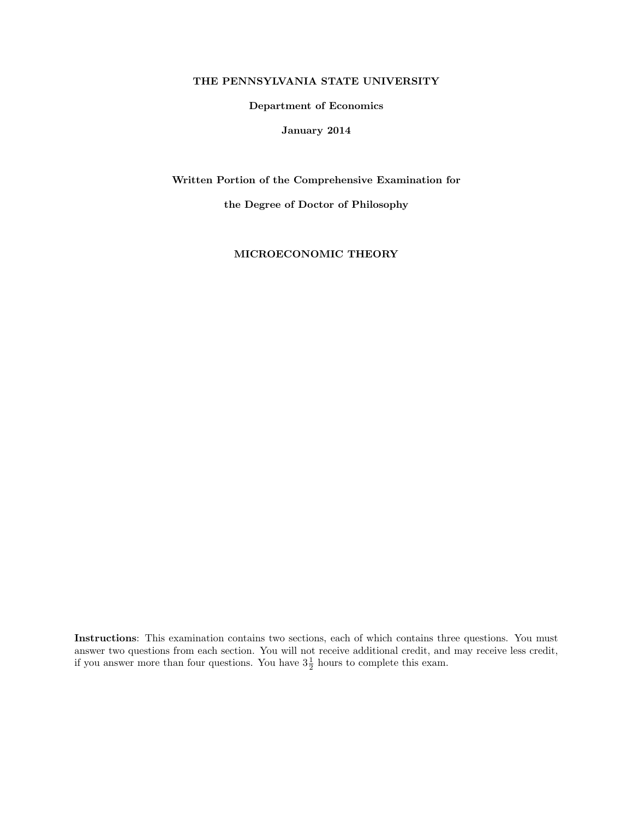### THE PENNSYLVANIA STATE UNIVERSITY

#### Department of Economics

### January 2014

Written Portion of the Comprehensive Examination for

the Degree of Doctor of Philosophy

MICROECONOMIC THEORY

Instructions: This examination contains two sections, each of which contains three questions. You must answer two questions from each section. You will not receive additional credit, and may receive less credit, if you answer more than four questions. You have  $3\frac{1}{2}$  hours to complete this exam.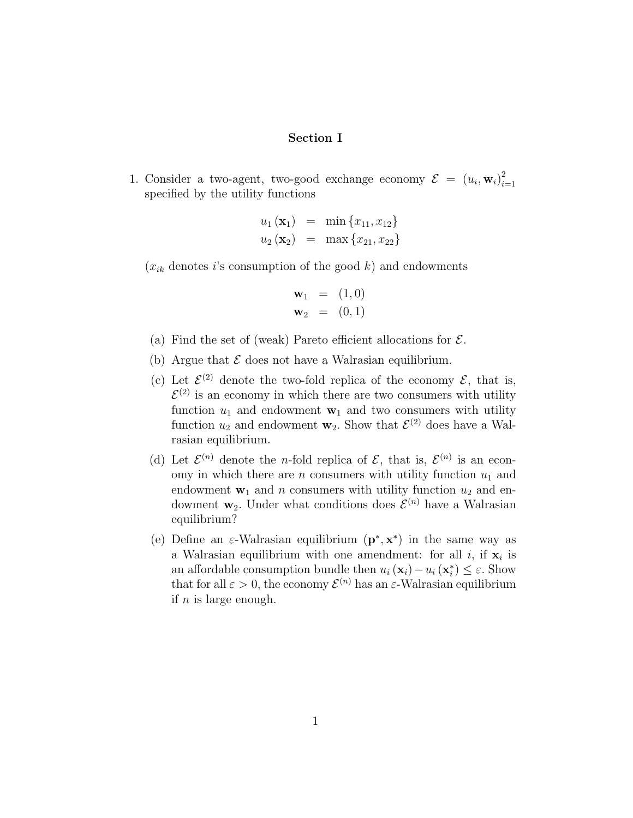# Section I

1. Consider a two-agent, two-good exchange economy  $\mathcal{E} = (u_i, \mathbf{w}_i)_{i=1}^2$  $i=1$ specified by the utility functions

$$
u_1 (\mathbf{x}_1) = \min \{x_{11}, x_{12}\}
$$
  

$$
u_2 (\mathbf{x}_2) = \max \{x_{21}, x_{22}\}
$$

 $(x_{ik}$  denotes i's consumption of the good k) and endowments

$$
\mathbf{w}_1 = (1,0) \n\mathbf{w}_2 = (0,1)
$$

- (a) Find the set of (weak) Pareto efficient allocations for  $\mathcal{E}$ .
- (b) Argue that  $\mathcal E$  does not have a Walrasian equilibrium.
- (c) Let  $\mathcal{E}^{(2)}$  denote the two-fold replica of the economy  $\mathcal{E}$ , that is,  $\mathcal{E}^{(2)}$  is an economy in which there are two consumers with utility function  $u_1$  and endowment  $\mathbf{w}_1$  and two consumers with utility function  $u_2$  and endowment  $\mathbf{w}_2$ . Show that  $\mathcal{E}^{(2)}$  does have a Walrasian equilibrium.
- (d) Let  $\mathcal{E}^{(n)}$  denote the *n*-fold replica of  $\mathcal{E}$ , that is,  $\mathcal{E}^{(n)}$  is an economy in which there are n consumers with utility function  $u_1$  and endowment  $\mathbf{w}_1$  and n consumers with utility function  $u_2$  and endowment  $w_2$ . Under what conditions does  $\mathcal{E}^{(n)}$  have a Walrasian equilibrium?
- (e) Define an  $\varepsilon$ -Walrasian equilibrium  $(\mathbf{p}^*, \mathbf{x}^*)$  in the same way as a Walrasian equilibrium with one amendment: for all  $i$ , if  $x_i$  is an affordable consumption bundle then  $u_i(\mathbf{x}_i) - u_i(\mathbf{x}_i^*) \leq \varepsilon$ . Show that for all  $\varepsilon > 0$ , the economy  $\mathcal{E}^{(n)}$  has an  $\varepsilon$ -Walrasian equilibrium if  $n$  is large enough.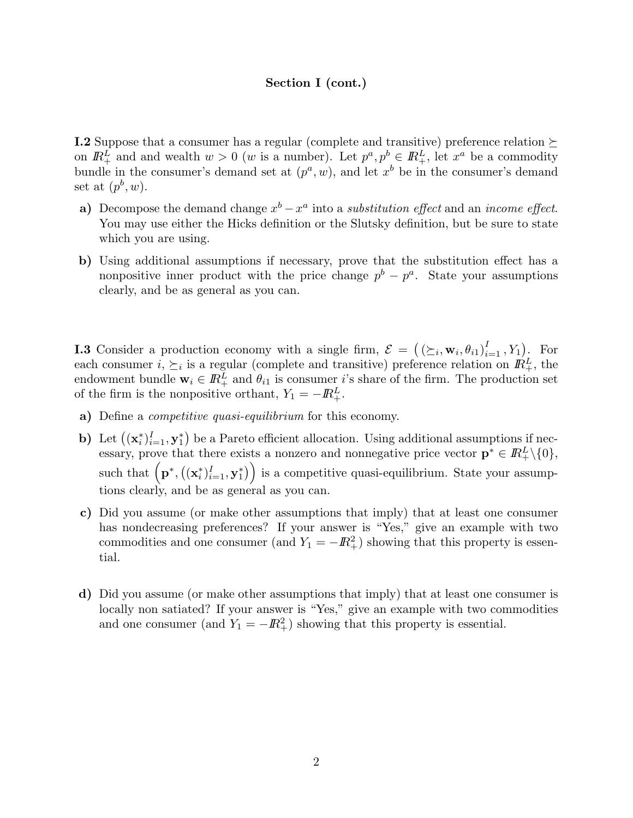# Section I (cont.)

**I.2** Suppose that a consumer has a regular (complete and transitive) preference relation  $\succ$ on  $\mathbb{R}_+^L$  and and wealth  $w > 0$  (w is a number). Let  $p^a, p^b \in \mathbb{R}_+^L$ , let  $x^a$  be a commodity bundle in the consumer's demand set at  $(p^a, w)$ , and let  $x^b$  be in the consumer's demand set at  $(p^b, w)$ .

- a) Decompose the demand change  $x^b x^a$  into a *substitution effect* and an *income effect*. You may use either the Hicks definition or the Slutsky definition, but be sure to state which you are using.
- b) Using additional assumptions if necessary, prove that the substitution effect has a nonpositive inner product with the price change  $p^{b} - p^{a}$ . State your assumptions clearly, and be as general as you can.

**I.3** Consider a production economy with a single firm,  $\mathcal{E} = ((\succeq_i, \mathbf{w}_i, \theta_{i1})_{i=1}^I, Y_1)$ . For each consumer  $i, \succeq_i$  is a regular (complete and transitive) preference relation on  $\mathbb{R}^L_+$ , the endowment bundle  $\mathbf{w}_i \in \mathbb{R}_+^L$  and  $\theta_{i1}$  is consumer i's share of the firm. The production set of the firm is the nonpositive orthant,  $Y_1 = -\mathbb{R}^L_+$ .

- a) Define a *competitive quasi-equilibrium* for this economy.
- **b**) Let  $((\mathbf{x}_i^*)_{i=1}^I, \mathbf{y}_1^*)$  be a Pareto efficient allocation. Using additional assumptions if necessary, prove that there exists a nonzero and nonnegative price vector  $\mathbf{p}^* \in \mathbb{R}^L_+\setminus\{0\},$ such that  $\left(\mathbf{p}^*, \left((\mathbf{x}_i^*)_{i=1}^I, \mathbf{y}_1^*\right)\right)$  is a competitive quasi-equilibrium. State your assumptions clearly, and be as general as you can.
- c) Did you assume (or make other assumptions that imply) that at least one consumer has nondecreasing preferences? If your answer is "Yes," give an example with two commodities and one consumer (and  $Y_1 = -\mathbb{R}^2_+$ ) showing that this property is essential.
- d) Did you assume (or make other assumptions that imply) that at least one consumer is locally non satiated? If your answer is "Yes," give an example with two commodities and one consumer (and  $Y_1 = -\mathbb{R}^2_+$ ) showing that this property is essential.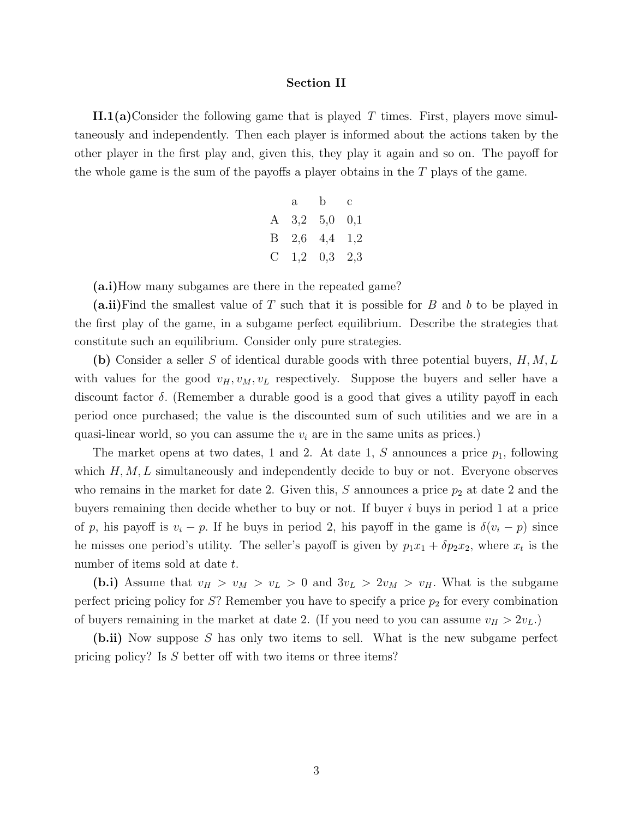#### Section II

II.1(a)Consider the following game that is played T times. First, players move simultaneously and independently. Then each player is informed about the actions taken by the other player in the first play and, given this, they play it again and so on. The payoff for the whole game is the sum of the payoffs a player obtains in the  $T$  plays of the game.

| a | $\mathbf{b}$        | $\mathbf{c}$ |
|---|---------------------|--------------|
|   | A $3,2$ $5,0$ $0,1$ |              |
|   | B $2,6$ $4,4$ $1,2$ |              |
|   | C $1,2$ $0,3$ $2,3$ |              |

(a.i)How many subgames are there in the repeated game?

 $(a.ii)$  Find the smallest value of T such that it is possible for B and b to be played in the first play of the game, in a subgame perfect equilibrium. Describe the strategies that constitute such an equilibrium. Consider only pure strategies.

(b) Consider a seller S of identical durable goods with three potential buyers,  $H, M, L$ with values for the good  $v_H, v_M, v_L$  respectively. Suppose the buyers and seller have a discount factor  $\delta$ . (Remember a durable good is a good that gives a utility payoff in each period once purchased; the value is the discounted sum of such utilities and we are in a quasi-linear world, so you can assume the  $v_i$  are in the same units as prices.)

The market opens at two dates, 1 and 2. At date 1, S announces a price  $p_1$ , following which  $H, M, L$  simultaneously and independently decide to buy or not. Everyone observes who remains in the market for date 2. Given this, S announces a price  $p_2$  at date 2 and the buyers remaining then decide whether to buy or not. If buyer  $i$  buys in period 1 at a price of p, his payoff is  $v_i - p$ . If he buys in period 2, his payoff in the game is  $\delta(v_i - p)$  since he misses one period's utility. The seller's payoff is given by  $p_1x_1 + \delta p_2x_2$ , where  $x_t$  is the number of items sold at date t.

(b.i) Assume that  $v_H > v_M > v_L > 0$  and  $3v_L > 2v_M > v_H$ . What is the subgame perfect pricing policy for  $S$ ? Remember you have to specify a price  $p_2$  for every combination of buyers remaining in the market at date 2. (If you need to you can assume  $v_H > 2v_L$ .)

(b.ii) Now suppose S has only two items to sell. What is the new subgame perfect pricing policy? Is S better off with two items or three items?